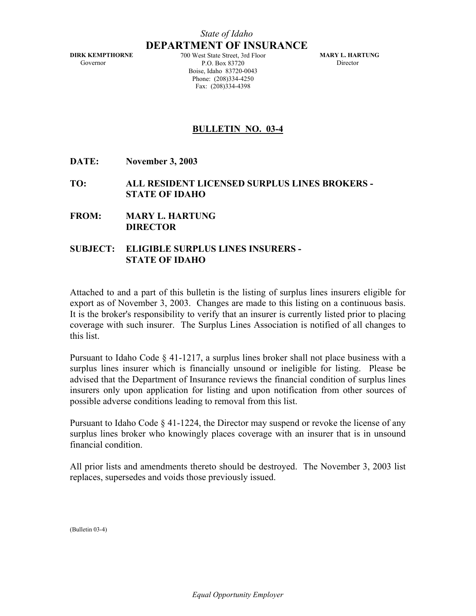**DIRK KEMPTHORNE**  Governor

700 West State Street, 3rd Floor P.O. Box 83720 Boise, Idaho 83720-0043 Phone: (208)334-4250 Fax: (208)334-4398

 **MARY L. HARTUNG**  Director

#### **BULLETIN NO. 03-4**

**DATE: November 3, 2003** 

**TO: ALL RESIDENT LICENSED SURPLUS LINES BROKERS - STATE OF IDAHO** 

**FROM: MARY L. HARTUNG DIRECTOR** 

#### **SUBJECT: ELIGIBLE SURPLUS LINES INSURERS - STATE OF IDAHO**

Attached to and a part of this bulletin is the listing of surplus lines insurers eligible for export as of November 3, 2003. Changes are made to this listing on a continuous basis. It is the broker's responsibility to verify that an insurer is currently listed prior to placing coverage with such insurer. The Surplus Lines Association is notified of all changes to this list.

Pursuant to Idaho Code § 41-1217, a surplus lines broker shall not place business with a surplus lines insurer which is financially unsound or ineligible for listing. Please be advised that the Department of Insurance reviews the financial condition of surplus lines insurers only upon application for listing and upon notification from other sources of possible adverse conditions leading to removal from this list.

Pursuant to Idaho Code § 41-1224, the Director may suspend or revoke the license of any surplus lines broker who knowingly places coverage with an insurer that is in unsound financial condition.

All prior lists and amendments thereto should be destroyed. The November 3, 2003 list replaces, supersedes and voids those previously issued.

(Bulletin 03-4)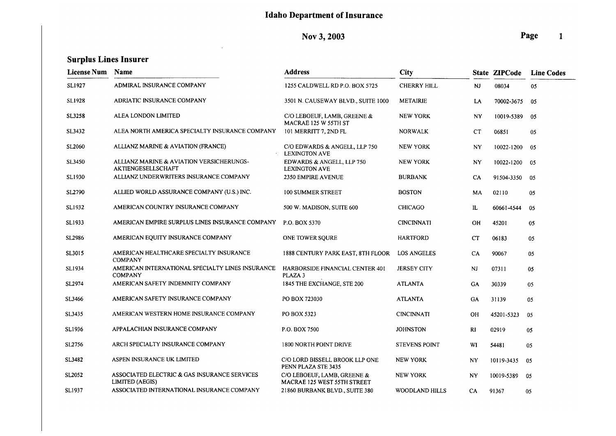Nov 3, 2003

 $\sim$ 

| <b>License Num</b> | Name                                                               | <b>Address</b>                                             | City                  |             | State ZIPCode | <b>Line Codes</b> |
|--------------------|--------------------------------------------------------------------|------------------------------------------------------------|-----------------------|-------------|---------------|-------------------|
| SL1927             | ADMIRAL INSURANCE COMPANY                                          | 1255 CALDWELL RD P.O. BOX 5725                             | <b>CHERRY HILL</b>    | <b>NJ</b>   | 08034         | 05                |
| SL1928             | ADRIATIC INSURANCE COMPANY                                         | 3501 N. CAUSEWAY BLVD., SUITE 1000                         | <b>METAIRIE</b>       | LA          | 70002-3675    | 05                |
| SL3258             | ALEA LONDON LIMITED                                                | C/O LEBOEUF, LAMB, GREENE &<br>MACRAE 125 W 55TH ST        | <b>NEW YORK</b>       | NY          | 10019-5389    | 05                |
| SL3432             | ALEA NORTH AMERICA SPECIALTY INSURANCE COMPANY                     | 101 MERRITT 7, 2ND FL                                      | <b>NORWALK</b>        | CT          | 06851         | 05                |
| SL2060             | ALLIANZ MARINE & AVIATION (FRANCE)                                 | C/O EDWARDS & ANGELL, LLP 750<br><b>LEXINGTON AVE</b>      | <b>NEW YORK</b>       | NY          | 10022-1200    | 05                |
| <b>SL3450</b>      | ALLIANZ MARINE & AVIATION VERSICHERUNGS-<br>AKTIENGESELLSCHAFT     | EDWARDS & ANGELL, LLP 750<br><b>LEXINGTON AVE</b>          | <b>NEW YORK</b>       | NY          | 10022-1200    | -05               |
| SL1930             | ALLIANZ UNDERWRITERS INSURANCE COMPANY                             | <b>2350 EMPIRE AVENUE</b>                                  | <b>BURBANK</b>        | CA          | 91504-3350    | -05               |
| SL2790             | ALLIED WORLD ASSURANCE COMPANY (U.S.) INC.                         | 100 SUMMER STREET                                          | <b>BOSTON</b>         | МA          | 02110         | 05                |
| SL1932             | AMERICAN COUNTRY INSURANCE COMPANY                                 | 500 W. MADISON, SUITE 600                                  | <b>CHICAGO</b>        | IL          | 60661-4544    | 05                |
| SL1933             | AMERICAN EMPIRE SURPLUS LINES INSURANCE COMPANY                    | P.O. BOX 5370                                              | <b>CINCINNATI</b>     | OH          | 45201         | 05                |
| <b>SL2986</b>      | AMERICAN EQUITY INSURANCE COMPANY                                  | ONE TOWER SQURE                                            | <b>HARTFORD</b>       | <b>CT</b>   | 06183         | 05                |
| SL3015             | AMERICAN HEALTHCARE SPECIALTY INSURANCE<br><b>COMPANY</b>          | 1888 CENTURY PARK EAST, 8TH FLOOR                          | <b>LOS ANGELES</b>    | CA          | 90067         | 05                |
| SL1934             | AMERICAN INTERNATIONAL SPECIALTY LINES INSURANCE<br><b>COMPANY</b> | HARBORSIDE FINANCIAL CENTER 401<br>PLAZA 3                 | <b>JERSEY CITY</b>    | <b>NJ</b>   | 07311         | 05                |
| SL2974             | AMERICAN SAFETY INDEMNITY COMPANY                                  | 1845 THE EXCHANGE, STE 200                                 | <b>ATLANTA</b>        | GA          | 30339         | 05                |
| SL3466             | AMERICAN SAFETY INSURANCE COMPANY                                  | PO BOX 723030                                              | <b>ATLANTA</b>        | <b>GA</b>   | 31139         | 05                |
| SL3435             | AMERICAN WESTERN HOME INSURANCE COMPANY                            | PO BOX 5323                                                | <b>CINCINNATI</b>     | <b>OH</b>   | 45201-5323    | 05                |
| SL1936             | APPALACHIAN INSURANCE COMPANY                                      | P.O. BOX 7500                                              | <b>JOHNSTON</b>       | $R_{\rm I}$ | 02919         | 05                |
| SL2756             | ARCH SPECIALTY INSURANCE COMPANY                                   | 1800 NORTH POINT DRIVE                                     | <b>STEVENS POINT</b>  | WI          | 54481         | 05                |
| SL3482             | ASPEN INSURANCE UK LIMITED                                         | C/O LORD BISSELL BROOK LLP ONE<br>PENN PLAZA STE 3435      | <b>NEW YORK</b>       | NY          | 10119-3435    | 05                |
| SL2052             | ASSOCIATED ELECTRIC & GAS INSURANCE SERVICES<br>LIMITED (AEGIS)    | C/O LEBOEUF, LAMB, GREENE &<br>MACRAE 125 WEST 55TH STREET | <b>NEW YORK</b>       | <b>NY</b>   | 10019-5389    | 05                |
| SL1937             | ASSOCIATED INTERNATIONAL INSURANCE COMPANY                         | 21860 BURBANK BLVD., SUITE 380                             | <b>WOODLAND HILLS</b> | CA          | 91367         | 05                |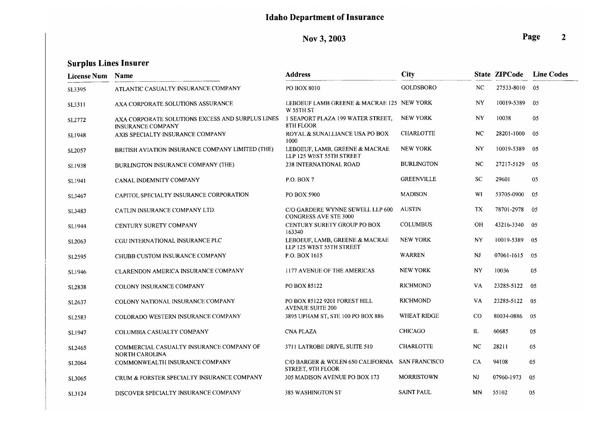Nov 3, 2003

| <b>License Num</b> | <b>Name</b>                                                                  | <b>Address</b>                                                       | <b>City</b>        |             | <b>State ZIPCode</b> | <b>Line Codes</b> |
|--------------------|------------------------------------------------------------------------------|----------------------------------------------------------------------|--------------------|-------------|----------------------|-------------------|
| SL3395             | ATLANTIC CASUALTY INSURANCE COMPANY                                          | PO BOX 8010                                                          | <b>GOLDSBORO</b>   | <b>NC</b>   | 27533-8010           | 05                |
| SL3311             | AXA CORPORATE SOLUTIONS ASSURANCE                                            | LEBOEUF LAMB GREENE & MACRAE 125 NEW YORK<br>W 55TH ST               |                    | NY          | 10019-5389           | 05                |
| SL2772             | AXA CORPORATE SOLUTIONS EXCESS AND SURPLUS LINES<br><b>INSURANCE COMPANY</b> | 1 SEAPORT PLAZA 199 WATER STREET,<br><b>8TH FLOOR</b>                | <b>NEW YORK</b>    | <b>NY</b>   | 10038                | 05                |
| SL1948             | AXIS SPECIALTY INSURANCE COMPANY                                             | ROYAL & SUNALLIANCE USA PO BOX<br>1000                               | <b>CHARLOTTE</b>   | <b>NC</b>   | 28201-1000           | 05                |
| SL2057             | BRITISH AVIATION INSURANCE COMPANY LIMITED (THE)                             | LEBOEUF, LAMB, GREENE & MACRAE<br>LLP 125 WEST 55TH STREET           | <b>NEW YORK</b>    | NY          | 10019-5389           | 05                |
| SL1938             | BURLINGTON INSURANCE COMPANY (THE)                                           | <b>238 INTERNATIONAL ROAD</b>                                        | <b>BURLINGTON</b>  | NC          | 27217-5129           | 05                |
| SL1941             | CANAL INDEMNITY COMPANY                                                      | <b>P.O. BOX 7</b>                                                    | <b>GREENVILLE</b>  | <b>SC</b>   | 29601                | 05                |
| SL3467             | CAPITOL SPECIALTY INSURANCE CORPORATION                                      | PO BOX 5900                                                          | <b>MADISON</b>     | WI          | 53705-0900           | 05                |
| SL3483             | CATLIN INSURANCE COMPANY LTD.                                                | C/O GARDERE WYNNE SEWELL LLP 600<br><b>CONGRESS AVE STE 3000</b>     | <b>AUSTIN</b>      | TX          | 78701-2978           | 05                |
| SL1944             | CENTURY SURETY COMPANY                                                       | CENTURY SURETY GROUP PO BOX<br>163340                                | <b>COLUMBUS</b>    | <b>OH</b>   | 43216-3340           | 0 <sub>5</sub>    |
| SL2063             | CGU INTERNATIONAL INSURANCE PLC                                              | LEBOEUF, LAMB, GREENE & MACRAE<br>LLP 125 WEST 55TH STREET           | <b>NEW YORK</b>    | <b>NY</b>   | 10019-5389           | 05                |
| SL2595             | CHUBB CUSTOM INSURANCE COMPANY                                               | P.O. BOX 1615                                                        | <b>WARREN</b>      | <b>NJ</b>   | 07061-1615           | 05                |
| <b>SL1946</b>      | CLARENDON AMERICA INSURANCE COMPANY                                          | 1177 AVENUE OF THE AMERICAS                                          | <b>NEW YORK</b>    | NY          | 10036                | 05                |
| SL2838             | COLONY INSURANCE COMPANY                                                     | PO BOX 85122                                                         | <b>RICHMOND</b>    | VA          | 23285-5122           | 05                |
| SL2637             | COLONY NATIONAL INSURANCE COMPANY                                            | PO BOX 85122 9201 FOREST HILL<br><b>AVENUE SUITE 200</b>             | <b>RICHMOND</b>    | VA          | 23285-5122           | 05                |
| SL2583             | COLORADO WESTERN INSURANCE COMPANY                                           | 3895 UPHAM ST, STE 100 PO BOX 886                                    | <b>WHEAT RIDGE</b> | $_{\rm CO}$ | 80034-0886           | 05                |
| SL1947             | COLUMBIA CASUALTY COMPANY                                                    | <b>CNA PLAZA</b>                                                     | <b>CHICAGO</b>     | IL          | 60685                | 05                |
| SL2465             | COMMERCIAL CASUALTY INSURANCE COMPANY OF<br><b>NORTH CAROLINA</b>            | 3711 LATROBE DRIVE, SUITE 510                                        | <b>CHARLOTTE</b>   | <b>NC</b>   | 28211                | 05                |
| SL2064             | COMMONWEALTH INSURANCE COMPANY                                               | C/O BARGER & WOLEN 650 CALIFORNIA SAN FRANCISCO<br>STREET, 9TH FLOOR |                    | CA          | 94108                | 05                |
| SL3065             | CRUM & FORSTER SPECIALTY INSURANCE COMPANY                                   | 305 MADISON AVENUE PO BOX 173                                        | <b>MORRISTOWN</b>  | NJ          | 07960-1973           | 05                |
| SL3124             | DISCOVER SPECIALTY INSURANCE COMPANY                                         | 385 WASHINGTON ST                                                    | <b>SAINT PAUL</b>  | MN          | 55102                | 05                |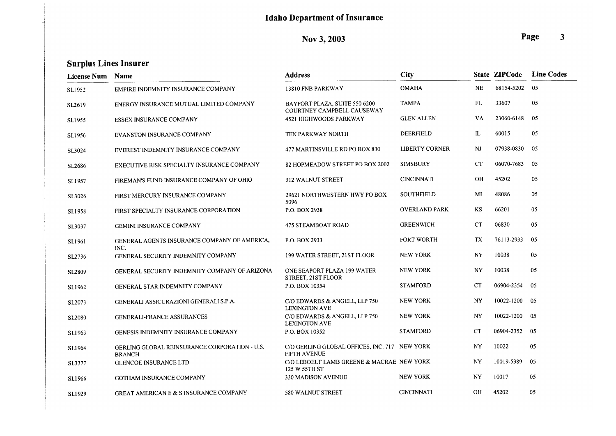Nov 3, 2003

| <b>License Num</b> | Name                                                           | <b>Address</b>                                                       | <b>City</b>           |           | <b>State ZIPCode</b> | <b>Line Codes</b> |
|--------------------|----------------------------------------------------------------|----------------------------------------------------------------------|-----------------------|-----------|----------------------|-------------------|
| SL1952             | EMPIRE INDEMNITY INSURANCE COMPANY                             | 13810 FNB PARKWAY                                                    | <b>OMAHA</b>          | <b>NE</b> | 68154-5202           | 05                |
| SL2619             | ENERGY INSURANCE MUTUAL LIMITED COMPANY                        | BAYPORT PLAZA, SUITE 550 6200<br>COURTNEY CAMPBELL CAUSEWAY          | <b>TAMPA</b>          | FL        | 33607                | 05                |
| <b>SL1955</b>      | <b>ESSEX INSURANCE COMPANY</b>                                 | 4521 HIGHWOODS PARKWAY                                               | <b>GLEN ALLEN</b>     | VA        | 23060-6148           | 05                |
| <b>SL1956</b>      | <b>EVANSTON INSURANCE COMPANY</b>                              | <b>TEN PARKWAY NORTH</b>                                             | <b>DEERFIELD</b>      | IL        | 60015                | 05                |
| SL3024             | EVEREST INDEMNITY INSURANCE COMPANY                            | 477 MARTINSVILLE RD PO BOX 830                                       | <b>LIBERTY CORNER</b> | NJ        | 07938-0830           | 05                |
| <b>SL2686</b>      | EXECUTIVE RISK SPECIALTY INSURANCE COMPANY                     | 82 HOPMEADOW STREET PO BOX 2002                                      | <b>SIMSBURY</b>       | CT        | 06070-7683           | 05                |
| <b>SL1957</b>      | FIREMAN'S FUND INSURANCE COMPANY OF OHIO                       | 312 WALNUT STREET                                                    | <b>CINCINNATI</b>     | <b>OH</b> | 45202                | 05                |
| SL3026             | FIRST MERCURY INSURANCE COMPANY                                | 29621 NORTHWESTERN HWY PO BOX<br>5096                                | <b>SOUTHFIELD</b>     | MI        | 48086                | 05                |
| <b>SL1958</b>      | FIRST SPECIALTY INSURANCE CORPORATION                          | P.O. BOX 2938                                                        | <b>OVERLAND PARK</b>  | <b>KS</b> | 66201                | 05                |
| SL3037             | <b>GEMINI INSURANCE COMPANY</b>                                | <b>475 STEAMBOAT ROAD</b>                                            | <b>GREENWICH</b>      | CT        | 06830                | 05                |
| SL1961             | GENERAL AGENTS INSURANCE COMPANY OF AMERICA,<br>INC.           | P.O. BOX 2933                                                        | <b>FORT WORTH</b>     | <b>TX</b> | 76113-2933           | 05                |
| SL2736             | GENERAL SECURITY INDEMNITY COMPANY                             | 199 WATER STREET, 21ST FLOOR                                         | <b>NEW YORK</b>       | <b>NY</b> | 10038                | 05                |
| SL2809             | GENERAL SECURITY INDEMNITY COMPANY OF ARIZONA                  | ONE SEAPORT PLAZA 199 WATER<br>STREET, 21ST FLOOR                    | <b>NEW YORK</b>       | NY        | 10038                | 05                |
| SL1962             | GENERAL STAR INDEMNITY COMPANY                                 | P.O. BOX 10354                                                       | <b>STAMFORD</b>       | <b>CT</b> | 06904-2354           | 05                |
| SL2073             | GENERALI ASSICURAZIONI GENERALI S.P.A.                         | C/O EDWARDS & ANGELL, LLP 750<br><b>LEXINGTON AVE</b>                | <b>NEW YORK</b>       | NY        | 10022-1200           | 05                |
| <b>SL2080</b>      | <b>GENERALI-FRANCE ASSURANCES</b>                              | C/O EDWARDS & ANGELL, LLP 750<br><b>LEXINGTON AVE</b>                | <b>NEW YORK</b>       | <b>NY</b> | 10022-1200           | 05                |
| <b>SL1963</b>      | GENESIS INDEMNITY INSURANCE COMPANY                            | P.O. BOX 10352                                                       | <b>STAMFORD</b>       | <b>CT</b> | 06904-2352           | 05                |
| SL1964             | GERLING GLOBAL REINSURANCE CORPORATION - U.S.<br><b>BRANCH</b> | C/O GERLING GLOBAL OFFICES, INC. 717 NEW YORK<br><b>FIFTH AVENUE</b> |                       | <b>NY</b> | 10022                | 05                |
| SL3377             | <b>GLENCOE INSURANCE LTD</b>                                   | C/O LEBOEUF LAMB GREENE & MACRAE NEW YORK<br>125 W 55TH ST           |                       | NY        | 10019-5389           | 05                |
| SL1966             | <b>GOTHAM INSURANCE COMPANY</b>                                | 330 MADISON AVENUE                                                   | <b>NEW YORK</b>       | <b>NY</b> | 10017                | 05                |
| SL1929             | <b>GREAT AMERICAN E &amp; S INSURANCE COMPANY</b>              | 580 WALNUT STREET                                                    | <b>CINCINNATI</b>     | OH        | 45202                | 05                |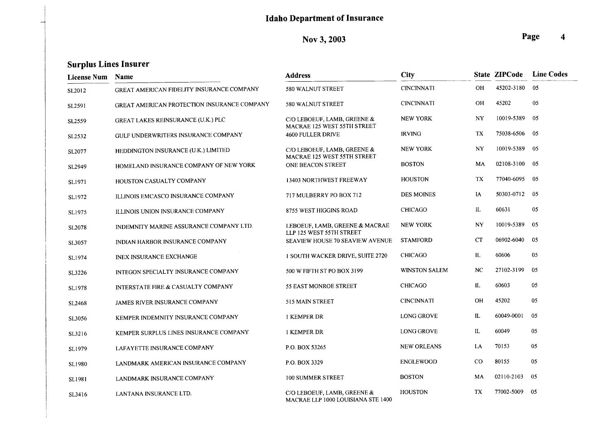Nov 3, 2003

| <b>License Num</b> | <b>Name</b>                                 | <b>Address</b>                                                    | <b>City</b>          |           | <b>State ZIPCode</b> | <b>Line Codes</b> |
|--------------------|---------------------------------------------|-------------------------------------------------------------------|----------------------|-----------|----------------------|-------------------|
| SL2012             | GREAT AMERICAN FIDELITY INSURANCE COMPANY   | 580 WALNUT STREET                                                 | <b>CINCINNATI</b>    | <b>OH</b> | 45202-3180           | 05                |
| SL2591             | GREAT AMERICAN PROTECTION INSURANCE COMPANY | 580 WALNUT STREET                                                 | <b>CINCINNATI</b>    | <b>OH</b> | 45202                | 05                |
| SL2559             | <b>GREAT LAKES REINSURANCE (U.K.) PLC</b>   | C/O LEBOEUF, LAMB, GREENE $&$<br>MACRAE 125 WEST 55TH STREET      | <b>NEW YORK</b>      | NY        | 10019-5389           | 05                |
| SL2532             | GULF UNDERWRITERS INSURANCE COMPANY         | 4600 FULLER DRIVE                                                 | <b>IRVING</b>        | TX        | 75038-6506           | 05                |
| SL2077             | HEDDINGTON INSURANCE (U.K.) LIMITED         | C/O LEBOEUF, LAMB, GREENE &<br>MACRAE 125 WEST 55TH STREET        | <b>NEW YORK</b>      | NY        | 10019-5389           | 05                |
| SL2949             | HOMELAND INSURANCE COMPANY OF NEW YORK      | ONE BEACON STREET                                                 | <b>BOSTON</b>        | MA        | 02108-3100           | -05               |
| SL1971             | HOUSTON CASUALTY COMPANY                    | 13403 NORTHWEST FREEWAY                                           | <b>HOUSTON</b>       | TX        | 77040-6095           | 05                |
| SL1972             | ILLINOIS EMCASCO INSURANCE COMPANY          | 717 MULBERRY PO BOX 712                                           | <b>DES MOINES</b>    | IA        | 50303-0712           | 05                |
| SL1975             | ILLINOIS UNION INSURANCE COMPANY            | 8755 WEST HIGGINS ROAD                                            | <b>CHICAGO</b>       | IL        | 60631                | 05                |
| SL2078             | INDEMNITY MARINE ASSURANCE COMPANY LTD.     | LEBOEUF, LAMB, GREENE & MACRAE<br>LLP 125 WEST 55TH STREET        | <b>NEW YORK</b>      | <b>NY</b> | 10019-5389           | 05                |
| SL3057             | INDIAN HARBOR INSURANCE COMPANY             | <b>SEAVIEW HOUSE 70 SEAVIEW AVENUE</b>                            | <b>STAMFORD</b>      | <b>CT</b> | 06902-6040           | 05                |
| SL1974             | <b>INEX INSURANCE EXCHANGE</b>              | 1 SOUTH WACKER DRIVE, SUITE 2720                                  | <b>CHICAGO</b>       | IL        | 60606                | 05                |
| SL3226             | INTEGON SPECIALTY INSURANCE COMPANY         | 500 W FIFTH ST PO BOX 3199                                        | <b>WINSTON SALEM</b> | NC        | 27102-3199           | 05                |
| SL1978             | INTERSTATE FIRE & CASUALTY COMPANY          | 55 EAST MONROE STREET                                             | <b>CHICAGO</b>       | IL        | 60603                | 05                |
| SL2468             | JAMES RIVER INSURANCE COMPANY               | 515 MAIN STREET                                                   | <b>CINCINNATI</b>    | <b>OH</b> | 45202                | 05                |
| SL3056             | KEMPER INDEMNITY INSURANCE COMPANY          | 1 KEMPER DR                                                       | <b>LONG GROVE</b>    | IL.       | 60049-0001           | 05                |
| SL3216             | KEMPER SURPLUS LINES INSURANCE COMPANY      | 1 KEMPER DR                                                       | <b>LONG GROVE</b>    | IL        | 60049                | 05                |
| SL1979             | LAFAYETTE INSURANCE COMPANY                 | P.O. BOX 53265                                                    | <b>NEW ORLEANS</b>   | LA        | 70153                | 05                |
| SL1980             | LANDMARK AMERICAN INSURANCE COMPANY         | P.O. BOX 3329                                                     | <b>ENGLEWOOD</b>     | $\rm CO$  | 80155                | 05                |
| SL1981             | LANDMARK INSURANCE COMPANY                  | 100 SUMMER STREET                                                 | <b>BOSTON</b>        | MA        | 02110-2103           | 05                |
| SL3416             | LANTANA INSURANCE LTD.                      | C/O LEBOEUF, LAMB, GREENE &<br>MACRAE LLP 1000 LOUISIANA STE 1400 | <b>HOUSTON</b>       | TX        | 77002-5009           | 05                |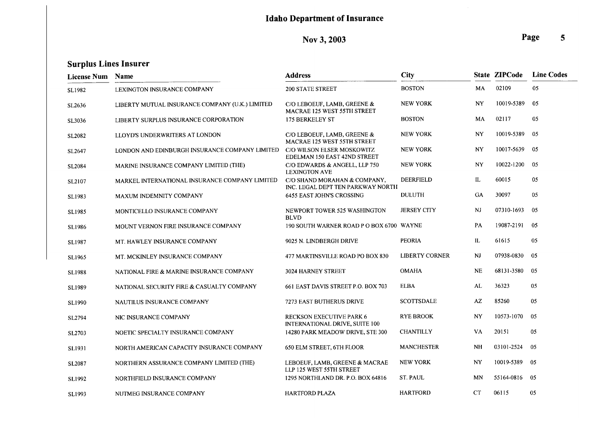Nov 3, 2003

| <b>License Num</b> | Name                                            | <b>Address</b>                                                    | <b>City</b>           |           | <b>State ZIPCode</b> | <b>Line Codes</b> |
|--------------------|-------------------------------------------------|-------------------------------------------------------------------|-----------------------|-----------|----------------------|-------------------|
| SL1982             | LEXINGTON INSURANCE COMPANY                     | <b>200 STATE STREET</b>                                           | <b>BOSTON</b>         | MA        | 02109                | 05                |
| SL2636             | LIBERTY MUTUAL INSURANCE COMPANY (U.K.) LIMITED | C/O LEBOEUF, LAMB, GREENE &<br>MACRAE 125 WEST 55TH STREET        | <b>NEW YORK</b>       | <b>NY</b> | 10019-5389           | 05                |
| SL3036             | LIBERTY SURPLUS INSURANCE CORPORATION           | 175 BERKELEY ST                                                   | <b>BOSTON</b>         | MA        | 02117                | 05                |
| SL2082             | LLOYD'S UNDERWRITERS AT LONDON                  | C/O LEBOEUF, LAMB, GREENE &<br>MACRAE 125 WEST 55TH STREET        | <b>NEW YORK</b>       | NY        | 10019-5389           | 05                |
| SL2647             | LONDON AND EDINBURGH INSURANCE COMPANY LIMITED  | C/O WILSON ELSER MOSKOWITZ<br>EDELMAN 150 EAST 42ND STREET        | <b>NEW YORK</b>       | NY        | 10017-5639           | 05                |
| SL2084             | MARINE INSURANCE COMPANY LIMITED (THE)          | C/O EDWARDS & ANGELL, LLP 750<br><b>LEXINGTON AVE</b>             | <b>NEW YORK</b>       | NY        | 10022-1200           | 05                |
| SL2107             | MARKEL INTERNATIONAL INSURANCE COMPANY LIMITED  | C/O SHAND MORAHAN & COMPANY,<br>INC. LEGAL DEPT TEN PARKWAY NORTH | DEERFIELD             | IL        | 60015                | 05                |
| SL1983             | MAXUM INDEMNITY COMPANY                         | 6455 EAST JOHN'S CROSSING                                         | <b>DULUTH</b>         | GA        | 30097                | 05                |
| SL1985             | MONTICELLO INSURANCE COMPANY                    | NEWPORT TOWER 525 WASHINGTON<br><b>BLVD</b>                       | <b>JERSEY CITY</b>    | NJ        | 07310-1693           | 05                |
| SL1986             | MOUNT VERNON FIRE INSURANCE COMPANY             | 190 SOUTH WARNER ROAD P O BOX 6700 WAYNE                          |                       | PA        | 19087-2191           | 05                |
| SL1987             | MT. HAWLEY INSURANCE COMPANY                    | 9025 N. LINDBERGH DRIVE                                           | <b>PEORIA</b>         | IL        | 61615                | 05                |
| <b>SL1965</b>      | MT. MCKINLEY INSURANCE COMPANY                  | 477 MARTINSVILLE ROAD PO BOX 830                                  | <b>LIBERTY CORNER</b> | NJ        | 07938-0830           | 05                |
| SL1988             | NATIONAL FIRE & MARINE INSURANCE COMPANY        | 3024 HARNEY STREET                                                | <b>OMAHA</b>          | <b>NE</b> | 68131-3580           | 05                |
| SL1989             | NATIONAL SECURITY FIRE & CASUALTY COMPANY       | 661 EAST DAVIS STREET P.O. BOX 703                                | <b>ELBA</b>           | AL        | 36323                | 05                |
| SL1990             | NAUTILUS INSURANCE COMPANY                      | <b>7273 EAST BUTHERUS DRIVE</b>                                   | <b>SCOTTSDALE</b>     | AZ        | 85260                | 05                |
| SL2794             | NIC INSURANCE COMPANY                           | <b>RECKSON EXECUTIVE PARK 6</b><br>INTERNATIONAL DRIVE, SUITE 100 | <b>RYE BROOK</b>      | <b>NY</b> | 10573-1070           | 05                |
| SL2703             | NOETIC SPECIALTY INSURANCE COMPANY              | 14280 PARK MEADOW DRIVE, STE 300                                  | <b>CHANTILLY</b>      | VA        | 20151                | 05                |
| SL1931             | NORTH AMERICAN CAPACITY INSURANCE COMPANY       | 650 ELM STREET, 6TH FLOOR                                         | <b>MANCHESTER</b>     | <b>NH</b> | 03101-2524           | 05                |
| SL2087             | NORTHERN ASSURANCE COMPANY LIMITED (THE)        | LEBOEUF, LAMB, GREENE & MACRAE<br>LLP 125 WEST 55TH STREET        | <b>NEW YORK</b>       | <b>NY</b> | 10019-5389           | 05                |
| SL1992             | NORTHFIELD INSURANCE COMPANY                    | 1295 NORTHLAND DR. P.O. BOX 64816                                 | <b>ST. PAUL</b>       | <b>MN</b> | 55164-0816           | 05                |
| SL1993             | NUTMEG INSURANCE COMPANY                        | <b>HARTFORD PLAZA</b>                                             | <b>HARTFORD</b>       | CT        | 06115                | 05                |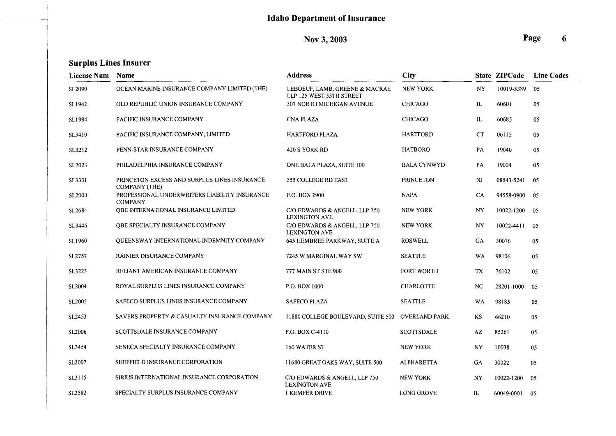### Nov 3, 2003

| License Num Name   |                                                                      | <b>Address</b>                                             | <b>City</b>        |           | <b>State ZIPCode</b> | <b>Line Codes</b> |
|--------------------|----------------------------------------------------------------------|------------------------------------------------------------|--------------------|-----------|----------------------|-------------------|
| <b>SL2090</b>      | OCEAN MARINE INSURANCE COMPANY LIMITED (THE)                         | LEBOEUF, LAMB, GREENE & MACRAE<br>LLP 125 WEST 55TH STREET | <b>NEW YORK</b>    | NY.       | 10019-5389           | 05                |
| SL1942             | OLD REPUBLIC UNION INSURANCE COMPANY                                 | 307 NORTH MICHIGAN AVENUE                                  | <b>CHICAGO</b>     | IL        | 60601                | 05                |
| SL1994             | PACIFIC INSURANCE COMPANY                                            | <b>CNA PLAZA</b>                                           | <b>CHICAGO</b>     | IL        | 60685                | 05                |
| SL3410             | PACIFIC INSURANCE COMPANY, LIMITED                                   | <b>HARTFORD PLAZA</b>                                      | <b>HARTFORD</b>    | CT        | 06115                | 05                |
| SL3212             | PENN-STAR INSURANCE COMPANY                                          | 420 S YORK RD                                              | <b>HATBORO</b>     | PA        | 19040                | 05                |
| SL2023             | PHILADELPHIA INSURANCE COMPANY                                       | ONE BALA PLAZA, SUITE 100                                  | <b>BALA CYNWYD</b> | PA        | 19004                | 05                |
| SL3331             | PRINCETON EXCESS AND SURPLUS LINES INSURANCE<br><b>COMPANY (THE)</b> | 555 COLLEGE RD EAST                                        | <b>PRINCETON</b>   | NJ        | 08543-5241           | 05                |
| <b>SL2000</b>      | PROFESSIONAL UNDERWRITERS LIABILITY INSURANCE<br><b>COMPANY</b>      | P.O. BOX 2900                                              | <b>NAPA</b>        | CA        | 94558-0900           | 05                |
| SL2684             | QBE INTERNATIONAL INSURANCE LIMITED                                  | C/O EDWARDS & ANGELL, LLP 750<br><b>LEXINGTON AVE</b>      | <b>NEW YORK</b>    | NY        | 10022-1200           | 05                |
| SL3446             | OBE SPECIALTY INSURANCE COMPANY                                      | C/O EDWARDS & ANGELL, LLP 750<br><b>LEXINGTON AVE</b>      | <b>NEW YORK</b>    | NY        | 10022-4411           | 05                |
| SL1960             | QUEENSWAY INTERNATIONAL INDEMNITY COMPANY                            | 645 HEMBREE PARKWAY, SUITE A                               | <b>ROSWELL</b>     | GA        | 30076                | 05                |
| SL2757             | <b>RAINIER INSURANCE COMPANY</b>                                     | 7245 W MARGINAL WAY SW                                     | <b>SEATTLE</b>     | WA        | 98106                | 05                |
| SL3223             | RELIANT AMERICAN INSURANCE COMPANY                                   | 777 MAIN ST STE 900                                        | <b>FORT WORTH</b>  | TX        | 76102                | 05                |
| SL <sub>2004</sub> | ROYAL SURPLUS LINES INSURANCE COMPANY                                | P.O. BOX 1000                                              | <b>CHARLOTTE</b>   | NC.       | 28201-1000           | 05                |
| SL <sub>2005</sub> | SAFECO SURPLUS LINES INSURANCE COMPANY                               | <b>SAFECO PLAZA</b>                                        | <b>SEATTLE</b>     | <b>WA</b> | 98185                | 05                |
| SL2453             | SAVERS PROPERTY & CASUALTY INSURANCE COMPANY                         | 11880 COLLEGE BOULEVARD, SUITE 500 OVERLAND PARK           |                    | KS        | 66210                | 05                |
| SL2006             | SCOTTSDALE INSURANCE COMPANY                                         | P.O. BOX C-4110                                            | <b>SCOTTSDALE</b>  | AZ        | 85261                | 05                |
| SL3454             | SENECA SPECIALTY INSURANCE COMPANY                                   | 160 WATER ST                                               | <b>NEW YORK</b>    | NY        | 10038                | 05                |
| SL2007             | SHEFFIELD INSURANCE CORPORATION                                      | 11680 GREAT OAKS WAY, SUITE 500                            | <b>ALPHARETTA</b>  | GA        | 30022                | 05                |
| SL3115             | SIRIUS INTERNATIONAL INSURANCE CORPORATION                           | C/O EDWARDS & ANGELL, LLP 750<br><b>LEXINGTON AVE</b>      | <b>NEW YORK</b>    | NY        | 10022-1200           | 05                |
| SL2582             | SPECIALTY SURPLUS INSURANCE COMPANY                                  | <b>I KEMPER DRIVE</b>                                      | <b>LONG GROVE</b>  | IL.       | 60049-0001           | -05               |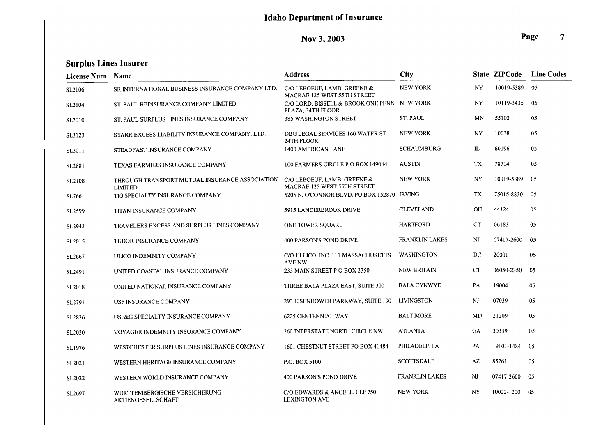# Nov 3, 2003

| <b>License Num</b> | Name                                                             | <b>Address</b>                                                   | <b>City</b>           |                        | State ZIPCode | <b>Line Codes</b> |
|--------------------|------------------------------------------------------------------|------------------------------------------------------------------|-----------------------|------------------------|---------------|-------------------|
| SL2106             | SR INTERNATIONAL BUSINESS INSURANCE COMPANY LTD.                 | C/O LEBOEUF, LAMB, GREENE &<br>MACRAE 125 WEST 55TH STREET       | <b>NEW YORK</b>       | NY                     | 10019-5389    | 05                |
| SL2104             | ST. PAUL REINSURANCE COMPANY LIMITED                             | C/O LORD, BISSELL & BROOK ONE PENN NEW YORK<br>PLAZA, 34TH FLOOR |                       | NY                     | 10119-3435    | 05                |
| SL <sub>2010</sub> | ST. PAUL SURPLUS LINES INSURANCE COMPANY                         | 385 WASHINGTON STREET                                            | <b>ST. PAUL</b>       | MN                     | 55102         | 05                |
| SL3123             | STARR EXCESS LIABILITY INSURANCE COMPANY, LTD.                   | DBG LEGAL SERVICES 160 WATER ST<br>24TH FLOOR                    | <b>NEW YORK</b>       | <b>NY</b>              | 10038         | 05                |
| SL2011             | STEADFAST INSURANCE COMPANY                                      | 1400 AMERICAN LANE                                               | <b>SCHAUMBURG</b>     | IL                     | 60196         | 05                |
| SL2881             | TEXAS FARMERS INSURANCE COMPANY                                  | 100 FARMERS CIRCLE P O BOX 149044                                | <b>AUSTIN</b>         | TX                     | 78714         | 05                |
| SL2108             | THROUGH TRANSPORT MUTUAL INSURANCE ASSOCIATION<br><b>LIMITED</b> | C/O LEBOEUF, LAMB, GREENE $&$<br>MACRAE 125 WEST 55TH STREET     | <b>NEW YORK</b>       | NY                     | 10019-5389    | 05                |
| <b>SL766</b>       | TIG SPECIALTY INSURANCE COMPANY                                  | 5205 N. O'CONNOR BLVD. PO BOX 152870 IRVING                      |                       | TX                     | 75015-8830    | 05                |
| SL2599             | TITAN INSURANCE COMPANY                                          | 5915 LANDERBROOK DRIVE                                           | <b>CLEVELAND</b>      | OH                     | 44124         | 05                |
| SL2943             | TRAVELERS EXCESS AND SURPLUS LINES COMPANY                       | ONE TOWER SQUARE                                                 | <b>HARTFORD</b>       | CT                     | 06183         | 05                |
| SL2015             | TUDOR INSURANCE COMPANY                                          | <b>400 PARSON'S POND DRIVE</b>                                   | <b>FRANKLIN LAKES</b> | N <sub>J</sub>         | 07417-2600    | 05                |
| SL2667             | ULICO INDEMNITY COMPANY                                          | C/O ULLICO, INC. 111 MASSACHUSETTS<br>AVE NW                     | <b>WASHINGTON</b>     | DC                     | 20001         | 05                |
| SL2491             | UNITED COASTAL INSURANCE COMPANY                                 | 233 MAIN STREET P O BOX 2350                                     | <b>NEW BRITAIN</b>    | <b>CT</b>              | 06050-2350    | 05                |
| SL2018             | UNITED NATIONAL INSURANCE COMPANY                                | THREE BALA PLAZA EAST, SUITE 300                                 | <b>BALA CYNWYD</b>    | PA                     | 19004         | 05                |
| SL2791             | USF INSURANCE COMPANY                                            | 293 EISENHOWER PARKWAY, SUITE 190                                | LIVINGSTON            | <b>NJ</b>              | 07039         | 05                |
| SL2826             | USF&G SPECIALTY INSURANCE COMPANY                                | 6225 CENTENNIAL WAY                                              | <b>BALTIMORE</b>      | MD                     | 21209         | 05                |
| SL2020             | VOYAGER INDEMNITY INSURANCE COMPANY                              | <b>260 INTERSTATE NORTH CIRCLE NW</b>                            | <b>ATLANTA</b>        | <b>GA</b>              | 30339         | 05                |
| SL1976             | WESTCHESTER SURPLUS LINES INSURANCE COMPANY                      | 1601 CHESTNUT STREET PO BOX 41484                                | PHILADELPHIA          | PA                     | 19101-1484    | 05                |
| SL2021             | WESTERN HERITAGE INSURANCE COMPANY                               | P.O. BOX 5100                                                    | <b>SCOTTSDALE</b>     | $\mathsf{A}\mathsf{Z}$ | 85261         | 05                |
| SL2022             | WESTERN WORLD INSURANCE COMPANY                                  | 400 PARSON'S POND DRIVE                                          | <b>FRANKLIN LAKES</b> | <b>NJ</b>              | 07417-2600    | 05                |
| SL2697             | WURTTEMBERGISCHE VERSICHERUNG<br><b>AKTIENGESELLSCHAFT</b>       | C/O EDWARDS & ANGELL, LLP 750<br><b>LEXINGTON AVE</b>            | <b>NEW YORK</b>       | NY                     | 10022-1200    | 05                |